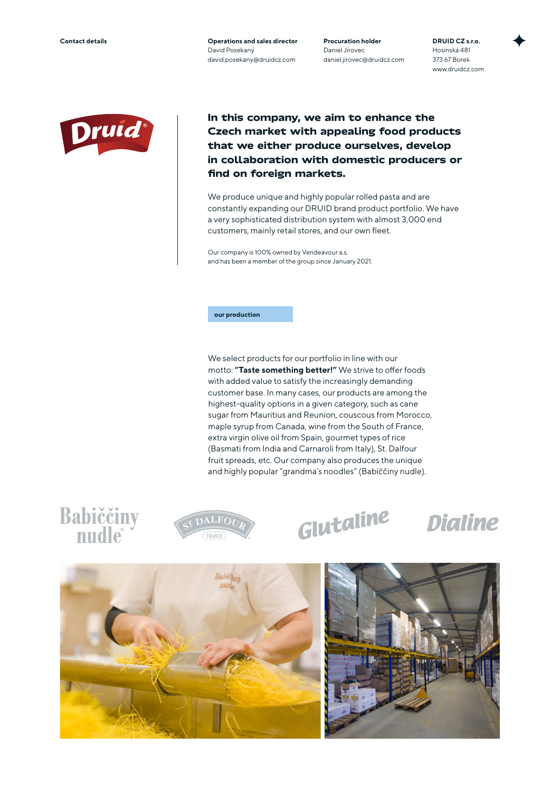**Contact details Operations and sales director** David Posekaný david.posekany@druidcz.com **Procuration holder** Daniel Jírovec daniel.jirovec@druidcz.com **DRUID CZ s.r.o.** Hosínská 481 373 67 Borek www.druidcz.com



**In this company, we aim to enhance the Czech market with appealing food products that we either produce ourselves, develop in collaboration with domestic producers or find on foreign markets.**

We produce unique and highly popular rolled pasta and are constantly expanding our DRUID brand product portfolio. We have a very sophisticated distribution system with almost 3,000 end customers, mainly retail stores, and our own fleet.

Our company is 100% owned by Vendeavour a.s. and has been a member of the group since January 2021.

### **our production**

We select products for our portfolio in line with our motto: **"Taste something better!"** We strive to offer foods with added value to satisfy the increasingly demanding customer base. In many cases, our products are among the highest-quality options in a given category, such as cane sugar from Mauritius and Reunion, couscous from Morocco, maple syrup from Canada, wine from the South of France, extra virgin olive oil from Spain, gourmet types of rice (Basmati from India and Carnaroli from Italy), St. Dalfour fruit spreads, etc. Our company also produces the unique and highly popular "grandma's noodles" (Babiččiny nudle).

# **Babiččiny**<br>nudle